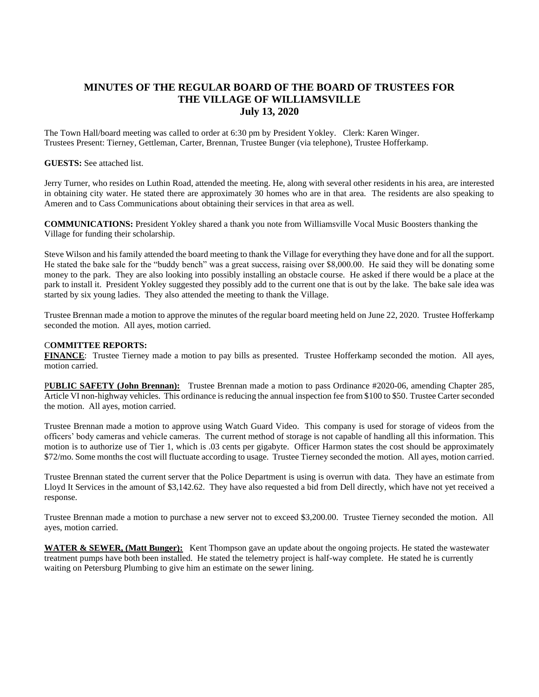## **MINUTES OF THE REGULAR BOARD OF THE BOARD OF TRUSTEES FOR THE VILLAGE OF WILLIAMSVILLE July 13, 2020**

The Town Hall/board meeting was called to order at 6:30 pm by President Yokley. Clerk: Karen Winger. Trustees Present: Tierney, Gettleman, Carter, Brennan, Trustee Bunger (via telephone), Trustee Hofferkamp.

## **GUESTS:** See attached list.

Jerry Turner, who resides on Luthin Road, attended the meeting. He, along with several other residents in his area, are interested in obtaining city water. He stated there are approximately 30 homes who are in that area. The residents are also speaking to Ameren and to Cass Communications about obtaining their services in that area as well.

**COMMUNICATIONS:** President Yokley shared a thank you note from Williamsville Vocal Music Boosters thanking the Village for funding their scholarship.

Steve Wilson and his family attended the board meeting to thank the Village for everything they have done and for all the support. He stated the bake sale for the "buddy bench" was a great success, raising over \$8,000.00. He said they will be donating some money to the park. They are also looking into possibly installing an obstacle course. He asked if there would be a place at the park to install it. President Yokley suggested they possibly add to the current one that is out by the lake. The bake sale idea was started by six young ladies. They also attended the meeting to thank the Village.

Trustee Brennan made a motion to approve the minutes of the regular board meeting held on June 22, 2020. Trustee Hofferkamp seconded the motion. All ayes, motion carried.

## C**OMMITTEE REPORTS:**

**FINANCE**: Trustee Tierney made a motion to pay bills as presented. Trustee Hofferkamp seconded the motion. All ayes, motion carried.

P**UBLIC SAFETY (John Brennan):** Trustee Brennan made a motion to pass Ordinance #2020-06, amending Chapter 285, Article VI non-highway vehicles. This ordinance is reducing the annual inspection fee from \$100 to \$50. Trustee Carter seconded the motion. All ayes, motion carried.

Trustee Brennan made a motion to approve using Watch Guard Video. This company is used for storage of videos from the officers' body cameras and vehicle cameras. The current method of storage is not capable of handling all this information. This motion is to authorize use of Tier 1, which is .03 cents per gigabyte. Officer Harmon states the cost should be approximately \$72/mo. Some months the cost will fluctuate according to usage. Trustee Tierney seconded the motion. All ayes, motion carried.

Trustee Brennan stated the current server that the Police Department is using is overrun with data. They have an estimate from Lloyd It Services in the amount of \$3,142.62. They have also requested a bid from Dell directly, which have not yet received a response.

Trustee Brennan made a motion to purchase a new server not to exceed \$3,200.00. Trustee Tierney seconded the motion. All ayes, motion carried.

**WATER & SEWER, (Matt Bunger):** Kent Thompson gave an update about the ongoing projects. He stated the wastewater treatment pumps have both been installed. He stated the telemetry project is half-way complete. He stated he is currently waiting on Petersburg Plumbing to give him an estimate on the sewer lining.